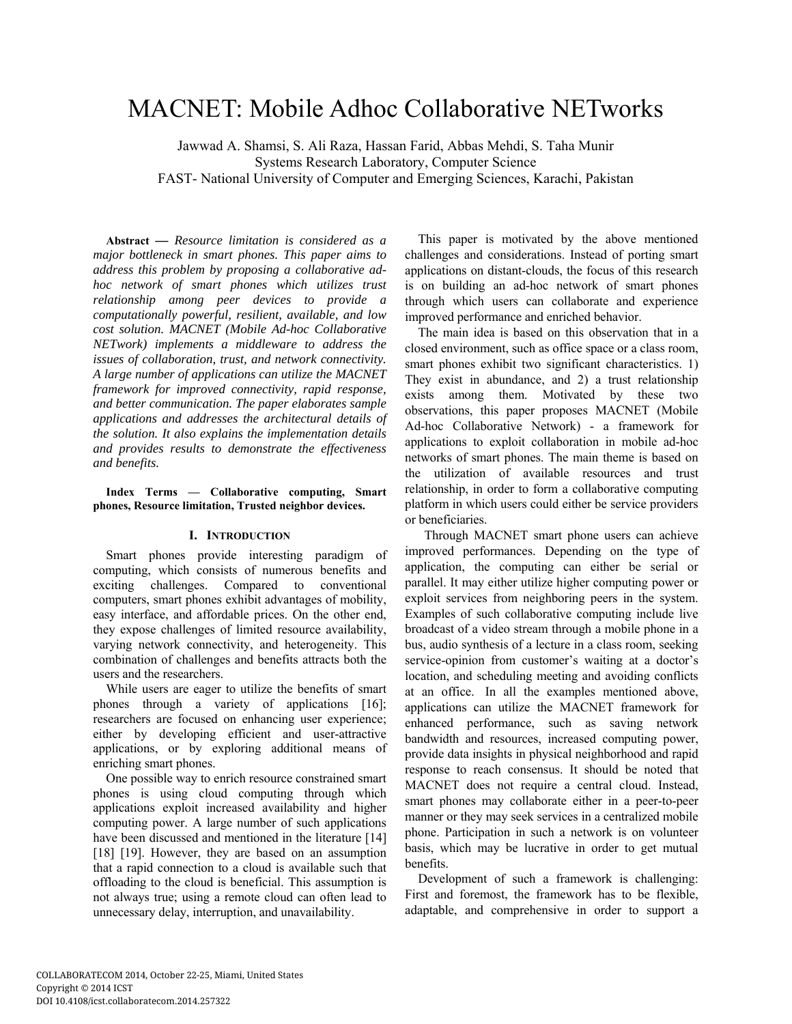# MACNET: Mobile Adhoc Collaborative NETworks

Jawwad A. Shamsi, S. Ali Raza, Hassan Farid, Abbas Mehdi, S. Taha Munir Systems Research Laboratory, Computer Science FAST- National University of Computer and Emerging Sciences, Karachi, Pakistan

**Abstract** *— Resource limitation is considered as a major bottleneck in smart phones. This paper aims to address this problem by proposing a collaborative adhoc network of smart phones which utilizes trust relationship among peer devices to provide a computationally powerful, resilient, available, and low cost solution. MACNET (Mobile Ad-hoc Collaborative NETwork) implements a middleware to address the issues of collaboration, trust, and network connectivity. A large number of applications can utilize the MACNET framework for improved connectivity, rapid response, and better communication. The paper elaborates sample applications and addresses the architectural details of the solution. It also explains the implementation details and provides results to demonstrate the effectiveness and benefits.* 

#### **Index Terms — Collaborative computing, Smart phones, Resource limitation, Trusted neighbor devices.**

#### **I. INTRODUCTION**

Smart phones provide interesting paradigm of computing, which consists of numerous benefits and exciting challenges. Compared to conventional computers, smart phones exhibit advantages of mobility, easy interface, and affordable prices. On the other end, they expose challenges of limited resource availability, varying network connectivity, and heterogeneity. This combination of challenges and benefits attracts both the users and the researchers.

While users are eager to utilize the benefits of smart phones through a variety of applications [16]; researchers are focused on enhancing user experience; either by developing efficient and user-attractive applications, or by exploring additional means of enriching smart phones.

One possible way to enrich resource constrained smart phones is using cloud computing through which applications exploit increased availability and higher computing power. A large number of such applications have been discussed and mentioned in the literature [14] [18] [19]. However, they are based on an assumption that a rapid connection to a cloud is available such that offloading to the cloud is beneficial. This assumption is not always true; using a remote cloud can often lead to unnecessary delay, interruption, and unavailability.

This paper is motivated by the above mentioned challenges and considerations. Instead of porting smart applications on distant-clouds, the focus of this research is on building an ad-hoc network of smart phones through which users can collaborate and experience improved performance and enriched behavior.

The main idea is based on this observation that in a closed environment, such as office space or a class room, smart phones exhibit two significant characteristics. 1) They exist in abundance, and 2) a trust relationship exists among them. Motivated by these two observations, this paper proposes MACNET (Mobile Ad-hoc Collaborative Network) - a framework for applications to exploit collaboration in mobile ad-hoc networks of smart phones. The main theme is based on the utilization of available resources and trust relationship, in order to form a collaborative computing platform in which users could either be service providers or beneficiaries.

 Through MACNET smart phone users can achieve improved performances. Depending on the type of application, the computing can either be serial or parallel. It may either utilize higher computing power or exploit services from neighboring peers in the system. Examples of such collaborative computing include live broadcast of a video stream through a mobile phone in a bus, audio synthesis of a lecture in a class room, seeking service-opinion from customer's waiting at a doctor's location, and scheduling meeting and avoiding conflicts at an office. In all the examples mentioned above, applications can utilize the MACNET framework for enhanced performance, such as saving network bandwidth and resources, increased computing power, provide data insights in physical neighborhood and rapid response to reach consensus. It should be noted that MACNET does not require a central cloud. Instead, smart phones may collaborate either in a peer-to-peer manner or they may seek services in a centralized mobile phone. Participation in such a network is on volunteer basis, which may be lucrative in order to get mutual benefits.

Development of such a framework is challenging: First and foremost, the framework has to be flexible, adaptable, and comprehensive in order to support a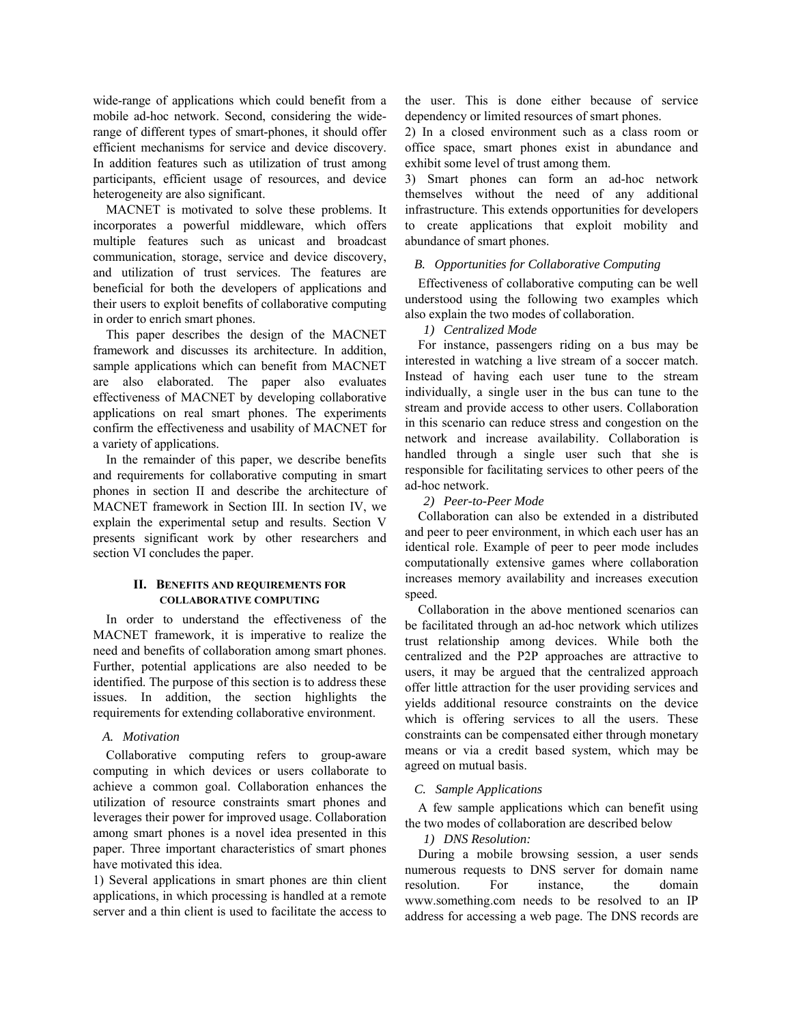wide-range of applications which could benefit from a mobile ad-hoc network. Second, considering the widerange of different types of smart-phones, it should offer efficient mechanisms for service and device discovery. In addition features such as utilization of trust among participants, efficient usage of resources, and device heterogeneity are also significant.

MACNET is motivated to solve these problems. It incorporates a powerful middleware, which offers multiple features such as unicast and broadcast communication, storage, service and device discovery, and utilization of trust services. The features are beneficial for both the developers of applications and their users to exploit benefits of collaborative computing in order to enrich smart phones.

This paper describes the design of the MACNET framework and discusses its architecture. In addition, sample applications which can benefit from MACNET are also elaborated. The paper also evaluates effectiveness of MACNET by developing collaborative applications on real smart phones. The experiments confirm the effectiveness and usability of MACNET for a variety of applications.

In the remainder of this paper, we describe benefits and requirements for collaborative computing in smart phones in section II and describe the architecture of MACNET framework in Section III. In section IV, we explain the experimental setup and results. Section V presents significant work by other researchers and section VI concludes the paper.

## **II. BENEFITS AND REQUIREMENTS FOR COLLABORATIVE COMPUTING**

In order to understand the effectiveness of the MACNET framework, it is imperative to realize the need and benefits of collaboration among smart phones. Further, potential applications are also needed to be identified. The purpose of this section is to address these issues. In addition, the section highlights the requirements for extending collaborative environment.

# *A. Motivation*

Collaborative computing refers to group-aware computing in which devices or users collaborate to achieve a common goal. Collaboration enhances the utilization of resource constraints smart phones and leverages their power for improved usage. Collaboration among smart phones is a novel idea presented in this paper. Three important characteristics of smart phones have motivated this idea.

1) Several applications in smart phones are thin client applications, in which processing is handled at a remote server and a thin client is used to facilitate the access to

the user. This is done either because of service dependency or limited resources of smart phones.

2) In a closed environment such as a class room or office space, smart phones exist in abundance and exhibit some level of trust among them.

3) Smart phones can form an ad-hoc network themselves without the need of any additional infrastructure. This extends opportunities for developers to create applications that exploit mobility and abundance of smart phones.

# *B. Opportunities for Collaborative Computing*

Effectiveness of collaborative computing can be well understood using the following two examples which also explain the two modes of collaboration.

#### *1) Centralized Mode*

For instance, passengers riding on a bus may be interested in watching a live stream of a soccer match. Instead of having each user tune to the stream individually, a single user in the bus can tune to the stream and provide access to other users. Collaboration in this scenario can reduce stress and congestion on the network and increase availability. Collaboration is handled through a single user such that she is responsible for facilitating services to other peers of the ad-hoc network.

## *2) Peer-to-Peer Mode*

Collaboration can also be extended in a distributed and peer to peer environment, in which each user has an identical role. Example of peer to peer mode includes computationally extensive games where collaboration increases memory availability and increases execution speed.

Collaboration in the above mentioned scenarios can be facilitated through an ad-hoc network which utilizes trust relationship among devices. While both the centralized and the P2P approaches are attractive to users, it may be argued that the centralized approach offer little attraction for the user providing services and yields additional resource constraints on the device which is offering services to all the users. These constraints can be compensated either through monetary means or via a credit based system, which may be agreed on mutual basis.

# *C. Sample Applications*

A few sample applications which can benefit using the two modes of collaboration are described below

#### *1) DNS Resolution:*

During a mobile browsing session, a user sends numerous requests to DNS server for domain name resolution For instance the domain www.something.com needs to be resolved to an IP address for accessing a web page. The DNS records are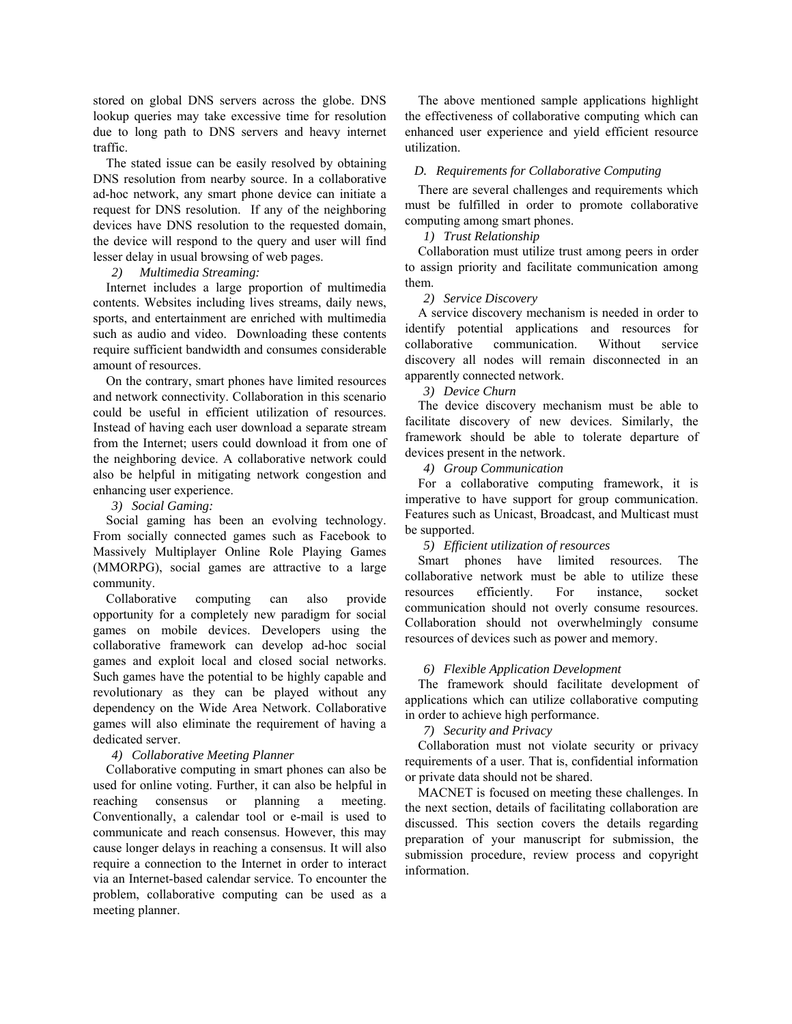stored on global DNS servers across the globe. DNS lookup queries may take excessive time for resolution due to long path to DNS servers and heavy internet traffic.

The stated issue can be easily resolved by obtaining DNS resolution from nearby source. In a collaborative ad-hoc network, any smart phone device can initiate a request for DNS resolution. If any of the neighboring devices have DNS resolution to the requested domain, the device will respond to the query and user will find lesser delay in usual browsing of web pages.

#### *2) Multimedia Streaming:*

Internet includes a large proportion of multimedia contents. Websites including lives streams, daily news, sports, and entertainment are enriched with multimedia such as audio and video. Downloading these contents require sufficient bandwidth and consumes considerable amount of resources.

On the contrary, smart phones have limited resources and network connectivity. Collaboration in this scenario could be useful in efficient utilization of resources. Instead of having each user download a separate stream from the Internet; users could download it from one of the neighboring device. A collaborative network could also be helpful in mitigating network congestion and enhancing user experience.

#### *3) Social Gaming:*

Social gaming has been an evolving technology. From socially connected games such as Facebook to Massively Multiplayer Online Role Playing Games (MMORPG), social games are attractive to a large community.

Collaborative computing can also provide opportunity for a completely new paradigm for social games on mobile devices. Developers using the collaborative framework can develop ad-hoc social games and exploit local and closed social networks. Such games have the potential to be highly capable and revolutionary as they can be played without any dependency on the Wide Area Network. Collaborative games will also eliminate the requirement of having a dedicated server.

#### *4) Collaborative Meeting Planner*

Collaborative computing in smart phones can also be used for online voting. Further, it can also be helpful in reaching consensus or planning a meeting. Conventionally, a calendar tool or e-mail is used to communicate and reach consensus. However, this may cause longer delays in reaching a consensus. It will also require a connection to the Internet in order to interact via an Internet-based calendar service. To encounter the problem, collaborative computing can be used as a meeting planner.

The above mentioned sample applications highlight the effectiveness of collaborative computing which can enhanced user experience and yield efficient resource utilization.

#### *D. Requirements for Collaborative Computing*

There are several challenges and requirements which must be fulfilled in order to promote collaborative computing among smart phones.

## *1) Trust Relationship*

Collaboration must utilize trust among peers in order to assign priority and facilitate communication among them.

#### *2) Service Discovery*

A service discovery mechanism is needed in order to identify potential applications and resources for collaborative communication. Without service discovery all nodes will remain disconnected in an apparently connected network.

### *3) Device Churn*

The device discovery mechanism must be able to facilitate discovery of new devices. Similarly, the framework should be able to tolerate departure of devices present in the network.

*4) Group Communication* 

For a collaborative computing framework, it is imperative to have support for group communication. Features such as Unicast, Broadcast, and Multicast must be supported.

#### *5) Efficient utilization of resources*

Smart phones have limited resources. The collaborative network must be able to utilize these resources efficiently. For instance, socket communication should not overly consume resources. Collaboration should not overwhelmingly consume resources of devices such as power and memory.

#### *6) Flexible Application Development*

The framework should facilitate development of applications which can utilize collaborative computing in order to achieve high performance.

#### *7) Security and Privacy*

Collaboration must not violate security or privacy requirements of a user. That is, confidential information or private data should not be shared.

MACNET is focused on meeting these challenges. In the next section, details of facilitating collaboration are discussed. This section covers the details regarding preparation of your manuscript for submission, the submission procedure, review process and copyright information.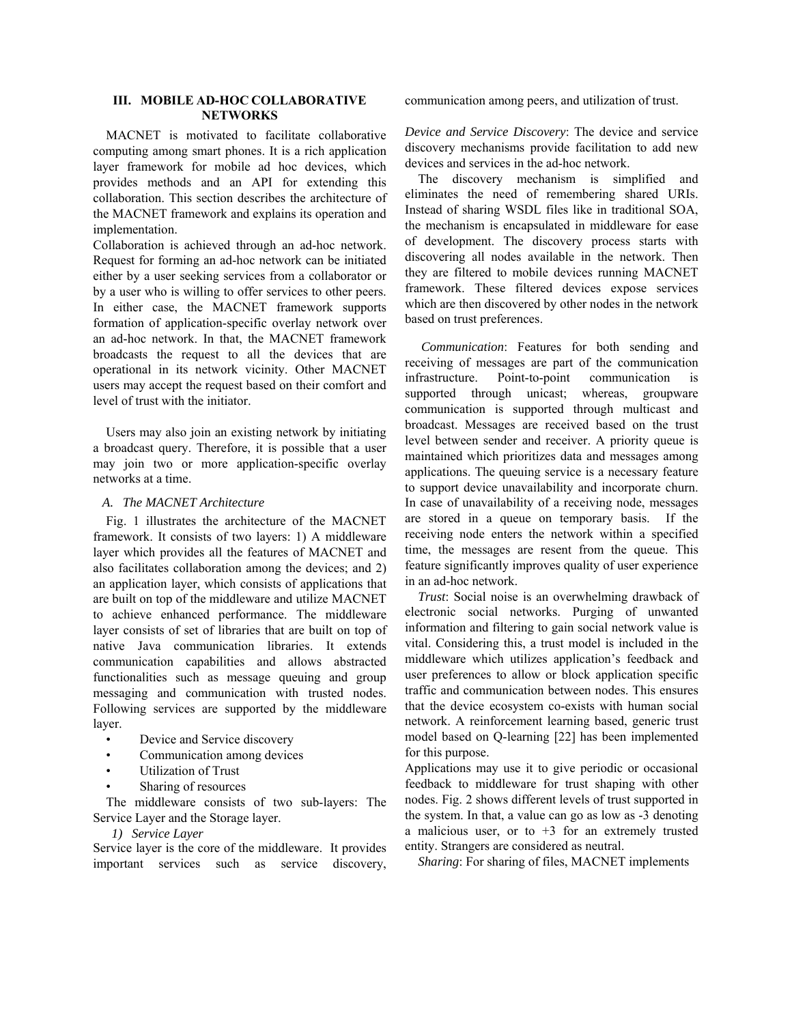## **III. MOBILE AD-HOC COLLABORATIVE NETWORKS**

MACNET is motivated to facilitate collaborative computing among smart phones. It is a rich application layer framework for mobile ad hoc devices, which provides methods and an API for extending this collaboration. This section describes the architecture of the MACNET framework and explains its operation and implementation.

Collaboration is achieved through an ad-hoc network. Request for forming an ad-hoc network can be initiated either by a user seeking services from a collaborator or by a user who is willing to offer services to other peers. In either case, the MACNET framework supports formation of application-specific overlay network over an ad-hoc network. In that, the MACNET framework broadcasts the request to all the devices that are operational in its network vicinity. Other MACNET users may accept the request based on their comfort and level of trust with the initiator.

Users may also join an existing network by initiating a broadcast query. Therefore, it is possible that a user may join two or more application-specific overlay networks at a time.

#### *A. The MACNET Architecture*

Fig. 1 illustrates the architecture of the MACNET framework. It consists of two layers: 1) A middleware layer which provides all the features of MACNET and also facilitates collaboration among the devices; and 2) an application layer, which consists of applications that are built on top of the middleware and utilize MACNET to achieve enhanced performance. The middleware layer consists of set of libraries that are built on top of native Java communication libraries. It extends communication capabilities and allows abstracted functionalities such as message queuing and group messaging and communication with trusted nodes. Following services are supported by the middleware layer.

- Device and Service discovery
- Communication among devices
- Utilization of Trust
- Sharing of resources

The middleware consists of two sub-layers: The Service Layer and the Storage layer.

### *1) Service Layer*

Service layer is the core of the middleware. It provides important services such as service discovery, communication among peers, and utilization of trust.

*Device and Service Discovery*: The device and service discovery mechanisms provide facilitation to add new devices and services in the ad-hoc network.

The discovery mechanism is simplified and eliminates the need of remembering shared URIs. Instead of sharing WSDL files like in traditional SOA, the mechanism is encapsulated in middleware for ease of development. The discovery process starts with discovering all nodes available in the network. Then they are filtered to mobile devices running MACNET framework. These filtered devices expose services which are then discovered by other nodes in the network based on trust preferences.

*Communication*: Features for both sending and receiving of messages are part of the communication infrastructure. Point-to-point communication is supported through unicast; whereas, groupware communication is supported through multicast and broadcast. Messages are received based on the trust level between sender and receiver. A priority queue is maintained which prioritizes data and messages among applications. The queuing service is a necessary feature to support device unavailability and incorporate churn. In case of unavailability of a receiving node, messages are stored in a queue on temporary basis. If the receiving node enters the network within a specified time, the messages are resent from the queue. This feature significantly improves quality of user experience in an ad-hoc network.

*Trust*: Social noise is an overwhelming drawback of electronic social networks. Purging of unwanted information and filtering to gain social network value is vital. Considering this, a trust model is included in the middleware which utilizes application's feedback and user preferences to allow or block application specific traffic and communication between nodes. This ensures that the device ecosystem co-exists with human social network. A reinforcement learning based, generic trust model based on Q-learning [22] has been implemented for this purpose.

Applications may use it to give periodic or occasional feedback to middleware for trust shaping with other nodes. Fig. 2 shows different levels of trust supported in the system. In that, a value can go as low as -3 denoting a malicious user, or to  $+3$  for an extremely trusted entity. Strangers are considered as neutral.

*Sharing*: For sharing of files, MACNET implements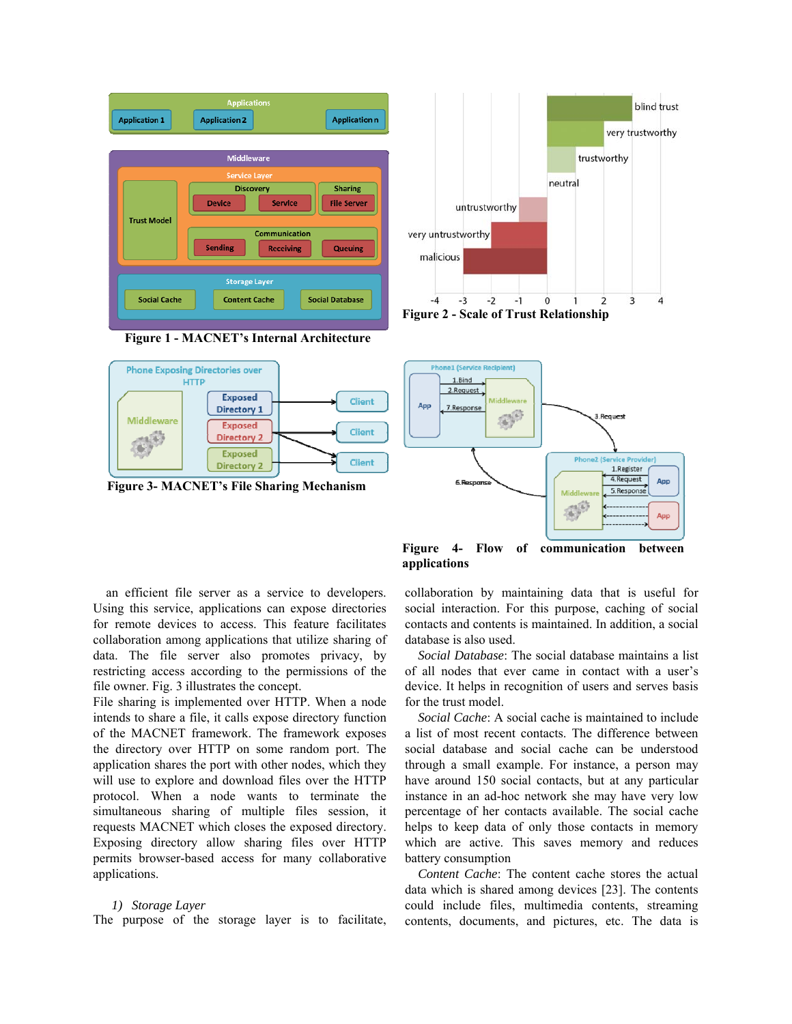

**Figure 1 - MACNET's Internal Architecture** 



**Figure 3- MACNET's File Sharing Mechanism** 





an efficient file server as a service to developers. Using this service, applications can expose directories for remote devices to access. This feature facilitates collaboration among applications that utilize sharing of data. The file server also promotes privacy, by restricting access according to the permissions of the file owner. Fig. 3 illustrates the concept.

File sharing is implemented over HTTP. When a node intends to share a file, it calls expose directory function of the MACNET framework. The framework exposes the directory over HTTP on some random port. The application shares the port with other nodes, which they will use to explore and download files over the HTTP protocol. When a node wants to terminate the simultaneous sharing of multiple files session, it requests MACNET which closes the exposed directory. Exposing directory allow sharing files over HTTP permits browser-based access for many collaborative applications.

#### *1) Storage Layer*

The purpose of the storage layer is to facilitate,

**Figure 4- Flow of communication between applications** 

collaboration by maintaining data that is useful for social interaction. For this purpose, caching of social contacts and contents is maintained. In addition, a social database is also used.

*Social Database*: The social database maintains a list of all nodes that ever came in contact with a user's device. It helps in recognition of users and serves basis for the trust model.

*Social Cache*: A social cache is maintained to include a list of most recent contacts. The difference between social database and social cache can be understood through a small example. For instance, a person may have around 150 social contacts, but at any particular instance in an ad-hoc network she may have very low percentage of her contacts available. The social cache helps to keep data of only those contacts in memory which are active. This saves memory and reduces battery consumption

*Content Cache*: The content cache stores the actual data which is shared among devices [23]. The contents could include files, multimedia contents, streaming contents, documents, and pictures, etc. The data is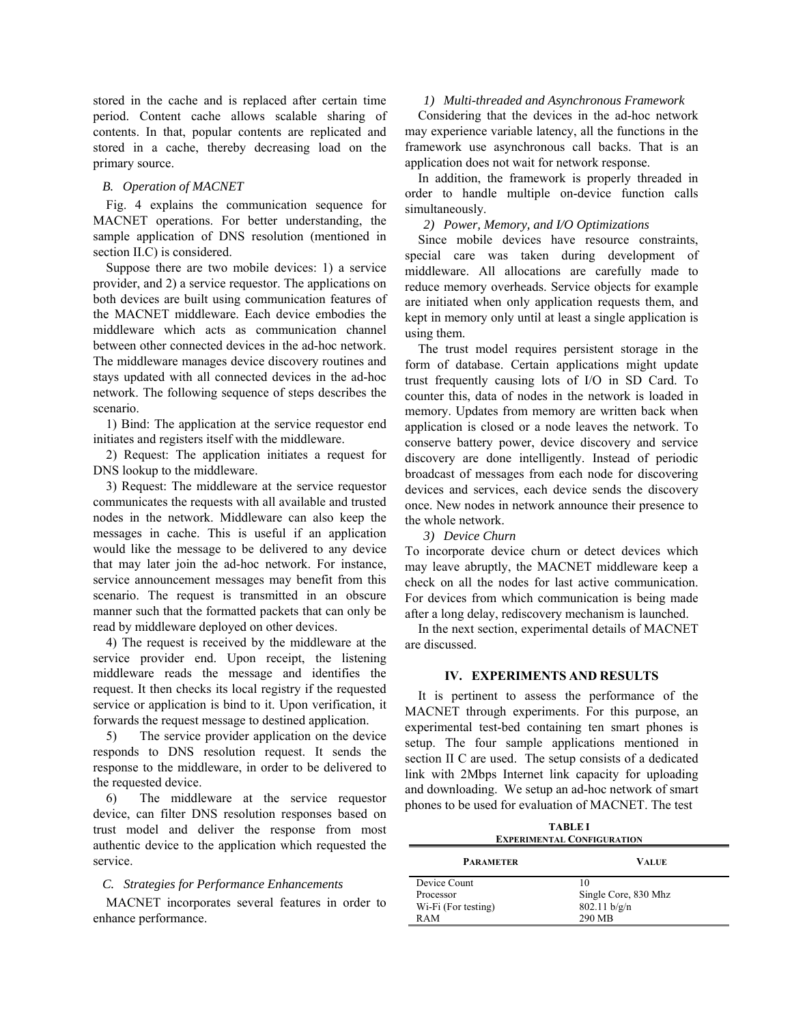stored in the cache and is replaced after certain time period. Content cache allows scalable sharing of contents. In that, popular contents are replicated and stored in a cache, thereby decreasing load on the primary source.

#### *B. Operation of MACNET*

Fig. 4 explains the communication sequence for MACNET operations. For better understanding, the sample application of DNS resolution (mentioned in section II.C) is considered.

Suppose there are two mobile devices: 1) a service provider, and 2) a service requestor. The applications on both devices are built using communication features of the MACNET middleware. Each device embodies the middleware which acts as communication channel between other connected devices in the ad-hoc network. The middleware manages device discovery routines and stays updated with all connected devices in the ad-hoc network. The following sequence of steps describes the scenario.

1) Bind: The application at the service requestor end initiates and registers itself with the middleware.

2) Request: The application initiates a request for DNS lookup to the middleware.

3) Request: The middleware at the service requestor communicates the requests with all available and trusted nodes in the network. Middleware can also keep the messages in cache. This is useful if an application would like the message to be delivered to any device that may later join the ad-hoc network. For instance, service announcement messages may benefit from this scenario. The request is transmitted in an obscure manner such that the formatted packets that can only be read by middleware deployed on other devices.

4) The request is received by the middleware at the service provider end. Upon receipt, the listening middleware reads the message and identifies the request. It then checks its local registry if the requested service or application is bind to it. Upon verification, it forwards the request message to destined application.

5) The service provider application on the device responds to DNS resolution request. It sends the response to the middleware, in order to be delivered to the requested device.

6) The middleware at the service requestor device, can filter DNS resolution responses based on trust model and deliver the response from most authentic device to the application which requested the service.

#### *C. Strategies for Performance Enhancements*

MACNET incorporates several features in order to enhance performance.

# *1) Multi-threaded and Asynchronous Framework*

Considering that the devices in the ad-hoc network may experience variable latency, all the functions in the framework use asynchronous call backs. That is an application does not wait for network response.

In addition, the framework is properly threaded in order to handle multiple on-device function calls simultaneously.

## *2) Power, Memory, and I/O Optimizations*

Since mobile devices have resource constraints, special care was taken during development of middleware. All allocations are carefully made to reduce memory overheads. Service objects for example are initiated when only application requests them, and kept in memory only until at least a single application is using them.

The trust model requires persistent storage in the form of database. Certain applications might update trust frequently causing lots of I/O in SD Card. To counter this, data of nodes in the network is loaded in memory. Updates from memory are written back when application is closed or a node leaves the network. To conserve battery power, device discovery and service discovery are done intelligently. Instead of periodic broadcast of messages from each node for discovering devices and services, each device sends the discovery once. New nodes in network announce their presence to the whole network.

#### *3) Device Churn*

To incorporate device churn or detect devices which may leave abruptly, the MACNET middleware keep a check on all the nodes for last active communication. For devices from which communication is being made after a long delay, rediscovery mechanism is launched.

In the next section, experimental details of MACNET are discussed.

#### **IV. EXPERIMENTS AND RESULTS**

It is pertinent to assess the performance of the MACNET through experiments. For this purpose, an experimental test-bed containing ten smart phones is setup. The four sample applications mentioned in section II C are used. The setup consists of a dedicated link with 2Mbps Internet link capacity for uploading and downloading. We setup an ad-hoc network of smart phones to be used for evaluation of MACNET. The test

| <b>TABLE I</b>                    |
|-----------------------------------|
| <b>EXPERIMENTAL CONFIGURATION</b> |

| <b>PARAMETER</b>    | <b>VALUE</b>         |
|---------------------|----------------------|
| Device Count        | 10                   |
| Processor           | Single Core, 830 Mhz |
| Wi-Fi (For testing) | 802.11 b/g/n         |
| <b>RAM</b>          | 290 MB               |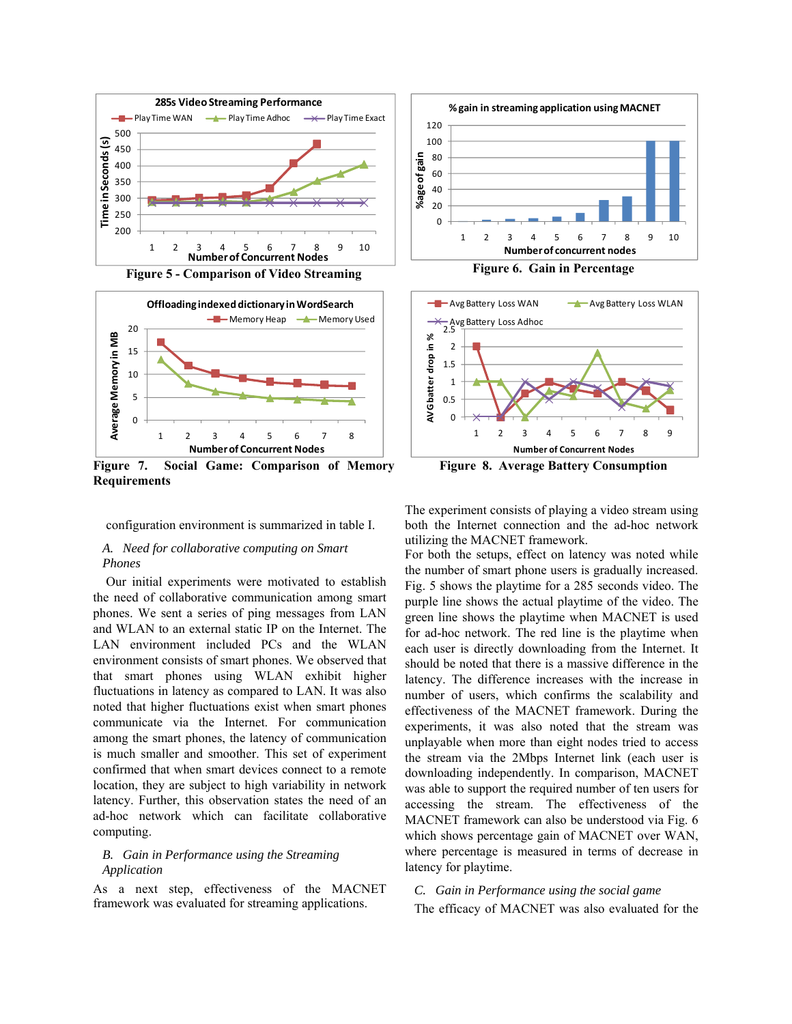





**Figure 7. Social Game: Comparison of Memory Requirements** 

configuration environment is summarized in table I.

#### *A. Need for collaborative computing on Smart Phones*

Our initial experiments were motivated to establish the need of collaborative communication among smart phones. We sent a series of ping messages from LAN and WLAN to an external static IP on the Internet. The LAN environment included PCs and the WLAN environment consists of smart phones. We observed that that smart phones using WLAN exhibit higher fluctuations in latency as compared to LAN. It was also noted that higher fluctuations exist when smart phones communicate via the Internet. For communication among the smart phones, the latency of communication is much smaller and smoother. This set of experiment confirmed that when smart devices connect to a remote location, they are subject to high variability in network latency. Further, this observation states the need of an ad-hoc network which can facilitate collaborative computing.

## *B. Gain in Performance using the Streaming Application*

As a next step, effectiveness of the MACNET framework was evaluated for streaming applications.





**Figure 8. Average Battery Consumption** 

The experiment consists of playing a video stream using both the Internet connection and the ad-hoc network utilizing the MACNET framework.

For both the setups, effect on latency was noted while the number of smart phone users is gradually increased. Fig. 5 shows the playtime for a 285 seconds video. The purple line shows the actual playtime of the video. The green line shows the playtime when MACNET is used for ad-hoc network. The red line is the playtime when each user is directly downloading from the Internet. It should be noted that there is a massive difference in the latency. The difference increases with the increase in number of users, which confirms the scalability and effectiveness of the MACNET framework. During the experiments, it was also noted that the stream was unplayable when more than eight nodes tried to access the stream via the 2Mbps Internet link (each user is downloading independently. In comparison, MACNET was able to support the required number of ten users for accessing the stream. The effectiveness of the MACNET framework can also be understood via Fig. 6 which shows percentage gain of MACNET over WAN, where percentage is measured in terms of decrease in latency for playtime.

# *C. Gain in Performance using the social game*

The efficacy of MACNET was also evaluated for the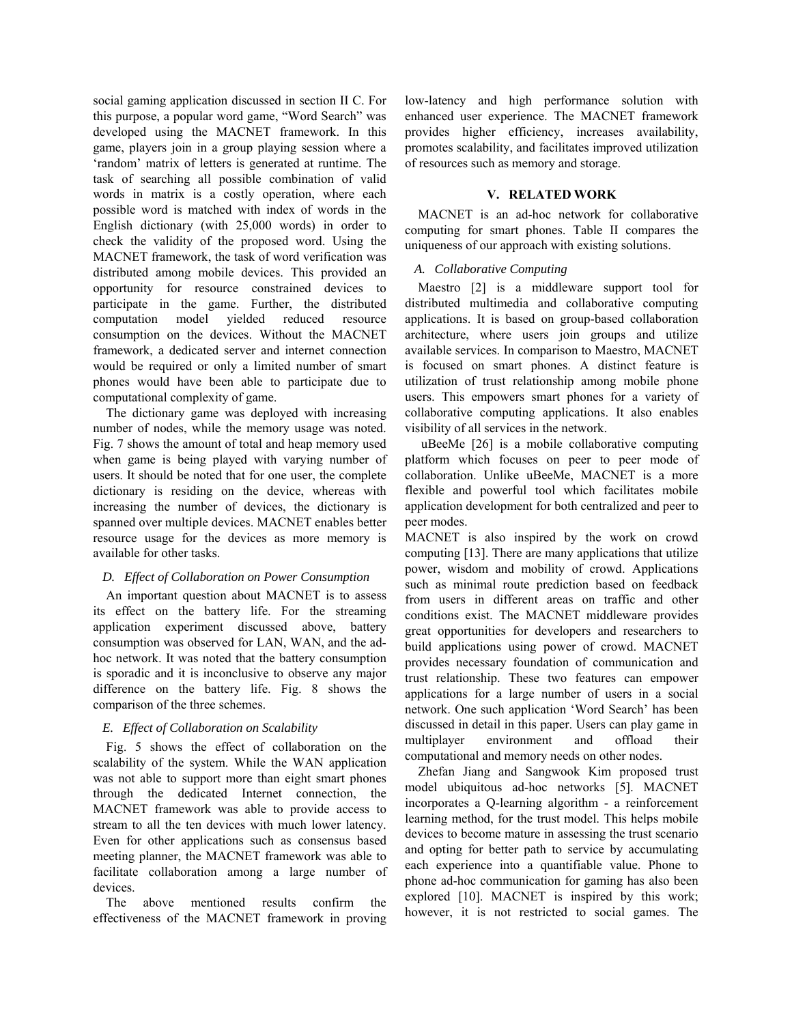social gaming application discussed in section II C. For this purpose, a popular word game, "Word Search" was developed using the MACNET framework. In this game, players join in a group playing session where a 'random' matrix of letters is generated at runtime. The task of searching all possible combination of valid words in matrix is a costly operation, where each possible word is matched with index of words in the English dictionary (with 25,000 words) in order to check the validity of the proposed word. Using the MACNET framework, the task of word verification was distributed among mobile devices. This provided an opportunity for resource constrained devices to participate in the game. Further, the distributed computation model yielded reduced resource consumption on the devices. Without the MACNET framework, a dedicated server and internet connection would be required or only a limited number of smart phones would have been able to participate due to computational complexity of game.

The dictionary game was deployed with increasing number of nodes, while the memory usage was noted. Fig. 7 shows the amount of total and heap memory used when game is being played with varying number of users. It should be noted that for one user, the complete dictionary is residing on the device, whereas with increasing the number of devices, the dictionary is spanned over multiple devices. MACNET enables better resource usage for the devices as more memory is available for other tasks.

# *D. Effect of Collaboration on Power Consumption*

An important question about MACNET is to assess its effect on the battery life. For the streaming application experiment discussed above, battery consumption was observed for LAN, WAN, and the adhoc network. It was noted that the battery consumption is sporadic and it is inconclusive to observe any major difference on the battery life. Fig. 8 shows the comparison of the three schemes.

# *E. Effect of Collaboration on Scalability*

Fig. 5 shows the effect of collaboration on the scalability of the system. While the WAN application was not able to support more than eight smart phones through the dedicated Internet connection, the MACNET framework was able to provide access to stream to all the ten devices with much lower latency. Even for other applications such as consensus based meeting planner, the MACNET framework was able to facilitate collaboration among a large number of devices.

The above mentioned results confirm the effectiveness of the MACNET framework in proving low-latency and high performance solution with enhanced user experience. The MACNET framework provides higher efficiency, increases availability, promotes scalability, and facilitates improved utilization of resources such as memory and storage.

# **V. RELATED WORK**

MACNET is an ad-hoc network for collaborative computing for smart phones. Table II compares the uniqueness of our approach with existing solutions.

# *A. Collaborative Computing*

Maestro [2] is a middleware support tool for distributed multimedia and collaborative computing applications. It is based on group-based collaboration architecture, where users join groups and utilize available services. In comparison to Maestro, MACNET is focused on smart phones. A distinct feature is utilization of trust relationship among mobile phone users. This empowers smart phones for a variety of collaborative computing applications. It also enables visibility of all services in the network.

 uBeeMe [26] is a mobile collaborative computing platform which focuses on peer to peer mode of collaboration. Unlike uBeeMe, MACNET is a more flexible and powerful tool which facilitates mobile application development for both centralized and peer to peer modes.

MACNET is also inspired by the work on crowd computing [13]. There are many applications that utilize power, wisdom and mobility of crowd. Applications such as minimal route prediction based on feedback from users in different areas on traffic and other conditions exist. The MACNET middleware provides great opportunities for developers and researchers to build applications using power of crowd. MACNET provides necessary foundation of communication and trust relationship. These two features can empower applications for a large number of users in a social network. One such application 'Word Search' has been discussed in detail in this paper. Users can play game in multiplayer environment and offload their computational and memory needs on other nodes.

Zhefan Jiang and Sangwook Kim proposed trust model ubiquitous ad-hoc networks [5]. MACNET incorporates a Q-learning algorithm - a reinforcement learning method, for the trust model. This helps mobile devices to become mature in assessing the trust scenario and opting for better path to service by accumulating each experience into a quantifiable value. Phone to phone ad-hoc communication for gaming has also been explored [10]. MACNET is inspired by this work; however, it is not restricted to social games. The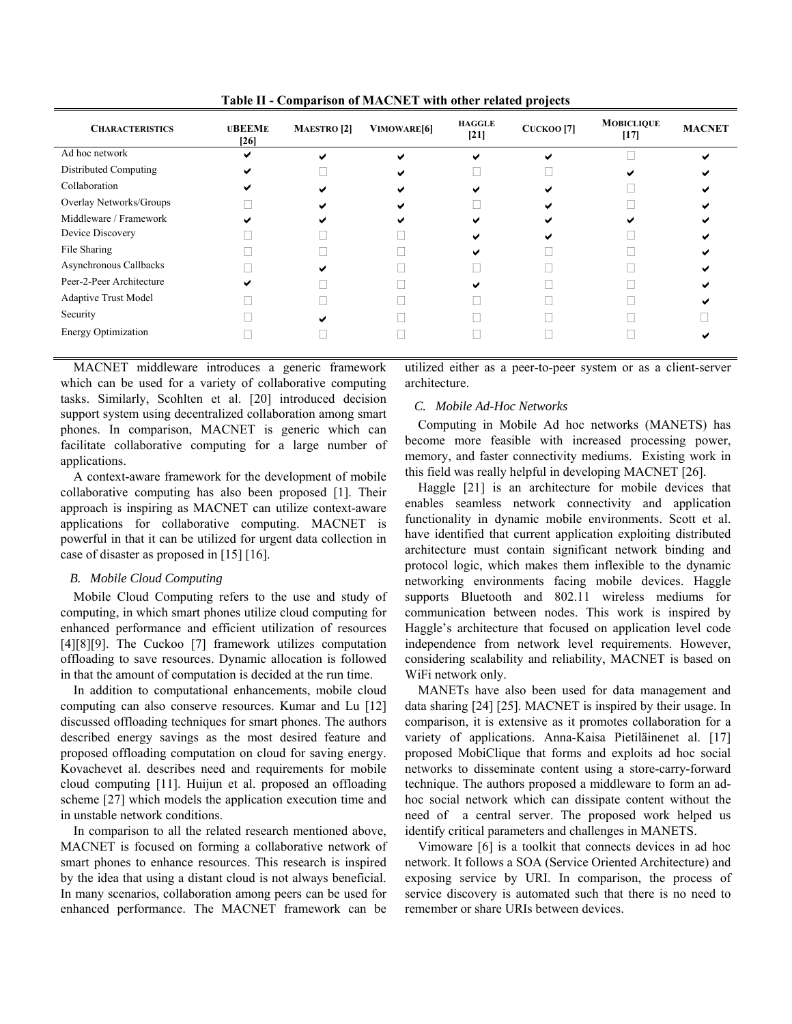| <b>CHARACTERISTICS</b>      | <b>UBEEME</b><br>$[26]$ | <b>MAESTRO</b> [2] | VIMOWARE[6] | <b>HAGGLE</b><br>$[21]$ | <b>СUCKOO</b> [7] | <b>MOBICLIQUE</b><br>[17] | <b>MACNET</b> |
|-----------------------------|-------------------------|--------------------|-------------|-------------------------|-------------------|---------------------------|---------------|
| Ad hoc network              |                         |                    |             |                         |                   |                           |               |
| Distributed Computing       |                         |                    |             |                         |                   |                           |               |
| Collaboration               |                         |                    |             |                         |                   |                           |               |
| Overlay Networks/Groups     |                         |                    |             |                         |                   |                           |               |
| Middleware / Framework      |                         |                    |             |                         |                   |                           |               |
| Device Discovery            |                         |                    |             |                         |                   |                           |               |
| File Sharing                |                         |                    |             |                         |                   |                           |               |
| Asynchronous Callbacks      |                         |                    |             |                         |                   |                           |               |
| Peer-2-Peer Architecture    |                         |                    |             |                         |                   |                           |               |
| <b>Adaptive Trust Model</b> |                         |                    |             |                         |                   |                           |               |
| Security                    |                         |                    |             |                         |                   |                           |               |
| Energy Optimization         |                         |                    |             |                         |                   |                           |               |

**Table II - Comparison of MACNET with other related projects** 

MACNET middleware introduces a generic framework which can be used for a variety of collaborative computing tasks. Similarly, Scohlten et al. [20] introduced decision support system using decentralized collaboration among smart phones. In comparison, MACNET is generic which can facilitate collaborative computing for a large number of applications.

A context-aware framework for the development of mobile collaborative computing has also been proposed [1]. Their approach is inspiring as MACNET can utilize context-aware applications for collaborative computing. MACNET is powerful in that it can be utilized for urgent data collection in case of disaster as proposed in [15] [16].

#### *B. Mobile Cloud Computing*

Mobile Cloud Computing refers to the use and study of computing, in which smart phones utilize cloud computing for enhanced performance and efficient utilization of resources [4][8][9]. The Cuckoo [7] framework utilizes computation offloading to save resources. Dynamic allocation is followed in that the amount of computation is decided at the run time.

In addition to computational enhancements, mobile cloud computing can also conserve resources. Kumar and Lu [12] discussed offloading techniques for smart phones. The authors described energy savings as the most desired feature and proposed offloading computation on cloud for saving energy. Kovachevet al. describes need and requirements for mobile cloud computing [11]. Huijun et al. proposed an offloading scheme [27] which models the application execution time and in unstable network conditions.

In comparison to all the related research mentioned above, MACNET is focused on forming a collaborative network of smart phones to enhance resources. This research is inspired by the idea that using a distant cloud is not always beneficial. In many scenarios, collaboration among peers can be used for enhanced performance. The MACNET framework can be utilized either as a peer-to-peer system or as a client-server architecture.

#### *C. Mobile Ad-Hoc Networks*

Computing in Mobile Ad hoc networks (MANETS) has become more feasible with increased processing power, memory, and faster connectivity mediums. Existing work in this field was really helpful in developing MACNET [26].

Haggle [21] is an architecture for mobile devices that enables seamless network connectivity and application functionality in dynamic mobile environments. Scott et al. have identified that current application exploiting distributed architecture must contain significant network binding and protocol logic, which makes them inflexible to the dynamic networking environments facing mobile devices. Haggle supports Bluetooth and 802.11 wireless mediums for communication between nodes. This work is inspired by Haggle's architecture that focused on application level code independence from network level requirements. However, considering scalability and reliability, MACNET is based on WiFi network only.

MANETs have also been used for data management and data sharing [24] [25]. MACNET is inspired by their usage. In comparison, it is extensive as it promotes collaboration for a variety of applications. Anna-Kaisa Pietiläinenet al. [17] proposed MobiClique that forms and exploits ad hoc social networks to disseminate content using a store-carry-forward technique. The authors proposed a middleware to form an adhoc social network which can dissipate content without the need of a central server. The proposed work helped us identify critical parameters and challenges in MANETS.

Vimoware [6] is a toolkit that connects devices in ad hoc network. It follows a SOA (Service Oriented Architecture) and exposing service by URI. In comparison, the process of service discovery is automated such that there is no need to remember or share URIs between devices.